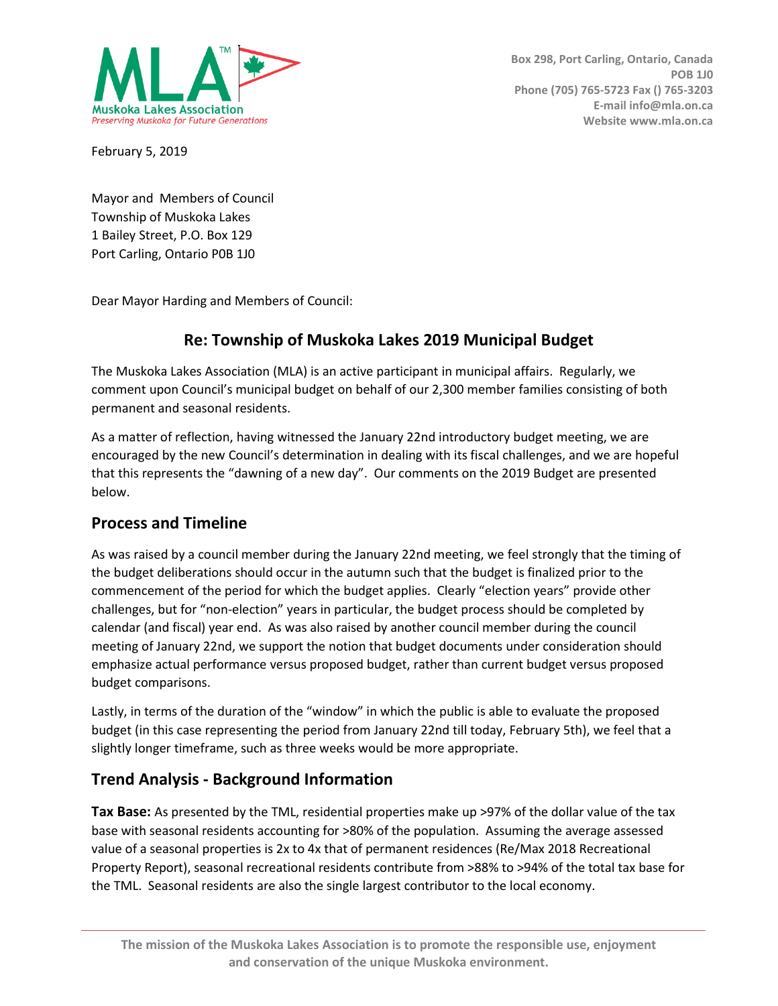

February 5, 2019

Mayor and Members of Council Township of Muskoka Lakes 1 Bailey Street, P.O. Box 129 Port Carling, Ontario P0B 1J0

Dear Mayor Harding and Members of Council:

## **Re: Township of Muskoka Lakes 2019 Municipal Budget**

The Muskoka Lakes Association (MLA) is an active participant in municipal affairs. Regularly, we comment upon Council's municipal budget on behalf of our 2,300 member families consisting of both permanent and seasonal residents.

As a matter of reflection, having witnessed the January 22nd introductory budget meeting, we are encouraged by the new Council's determination in dealing with its fiscal challenges, and we are hopeful that this represents the "dawning of a new day". Our comments on the 2019 Budget are presented below.

### **Process and Timeline**

As was raised by a council member during the January 22nd meeting, we feel strongly that the timing of the budget deliberations should occur in the autumn such that the budget is finalized prior to the commencement of the period for which the budget applies. Clearly "election years" provide other challenges, but for "non-election" years in particular, the budget process should be completed by calendar (and fiscal) year end. As was also raised by another council member during the council meeting of January 22nd, we support the notion that budget documents under consideration should emphasize actual performance versus proposed budget, rather than current budget versus proposed budget comparisons.

Lastly, in terms of the duration of the "window" in which the public is able to evaluate the proposed budget (in this case representing the period from January 22nd till today, February 5th), we feel that a slightly longer timeframe, such as three weeks would be more appropriate.

### **Trend Analysis - Background Information**

**Tax Base:** As presented by the TML, residential properties make up >97% of the dollar value of the tax base with seasonal residents accounting for >80% of the population. Assuming the average assessed value of a seasonal properties is 2x to 4x that of permanent residences (Re/Max 2018 Recreational Property Report), seasonal recreational residents contribute from >88% to >94% of the total tax base for the TML. Seasonal residents are also the single largest contributor to the local economy.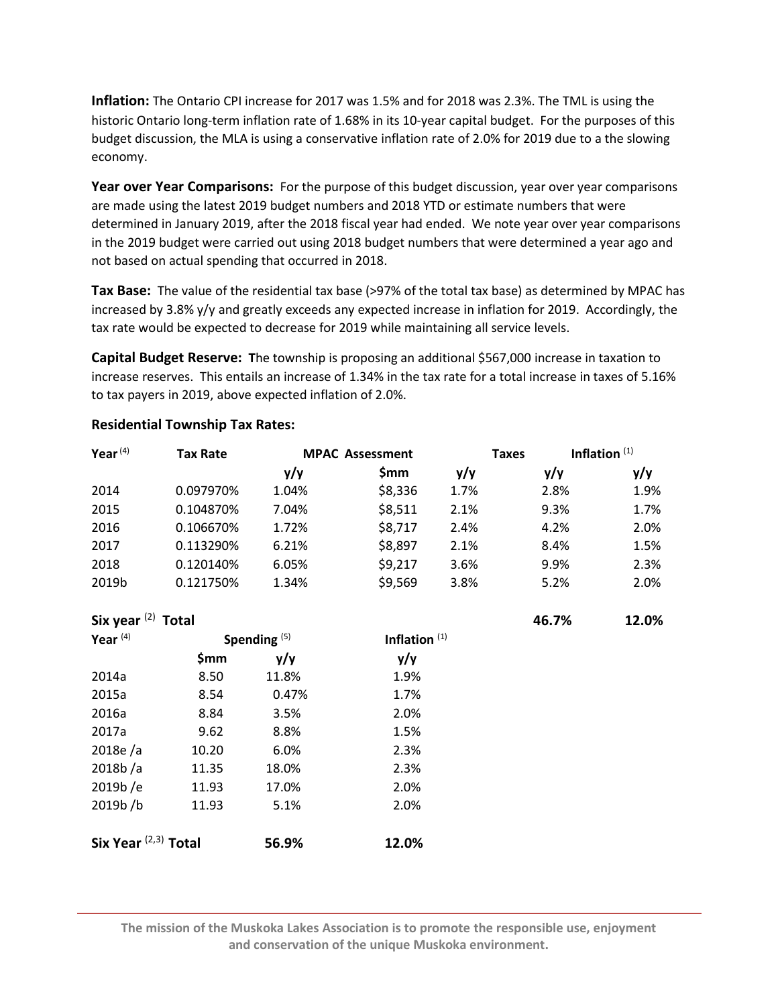**Inflation:** The Ontario CPI increase for 2017 was 1.5% and for 2018 was 2.3%. The TML is using the historic Ontario long-term inflation rate of 1.68% in its 10-year capital budget. For the purposes of this budget discussion, the MLA is using a conservative inflation rate of 2.0% for 2019 due to a the slowing economy.

**Year over Year Comparisons:** For the purpose of this budget discussion, year over year comparisons are made using the latest 2019 budget numbers and 2018 YTD or estimate numbers that were determined in January 2019, after the 2018 fiscal year had ended. We note year over year comparisons in the 2019 budget were carried out using 2018 budget numbers that were determined a year ago and not based on actual spending that occurred in 2018.

**Tax Base:** The value of the residential tax base (>97% of the total tax base) as determined by MPAC has increased by 3.8% y/y and greatly exceeds any expected increase in inflation for 2019. Accordingly, the tax rate would be expected to decrease for 2019 while maintaining all service levels.

**Capital Budget Reserve: T**he township is proposing an additional \$567,000 increase in taxation to increase reserves. This entails an increase of 1.34% in the tax rate for a total increase in taxes of 5.16% to tax payers in 2019, above expected inflation of 2.0%.

| Year $(4)$ | <b>Tax Rate</b> | <b>MPAC Assessment</b> |         | <b>Taxes</b> | Inflation $(1)$ |      |
|------------|-----------------|------------------------|---------|--------------|-----------------|------|
|            |                 | y/y                    | Smm     | y/y          | y/y             | y/y  |
| 2014       | 0.097970%       | 1.04%                  | \$8,336 | 1.7%         | 2.8%            | 1.9% |
| 2015       | 0.104870%       | 7.04%                  | \$8,511 | 2.1%         | 9.3%            | 1.7% |
| 2016       | 0.106670%       | 1.72%                  | \$8,717 | 2.4%         | 4.2%            | 2.0% |
| 2017       | 0.113290%       | 6.21%                  | \$8,897 | 2.1%         | 8.4%            | 1.5% |
| 2018       | 0.120140%       | 6.05%                  | \$9,217 | 3.6%         | 9.9%            | 2.3% |
| 2019b      | 0.121750%       | 1.34%                  | \$9,569 | 3.8%         | 5.2%            | 2.0% |

### **Residential Township Tax Rates:**

### **Six year** (2)  **Total 46.7% 12.0%**

| \$mm  | y/y                    |       |
|-------|------------------------|-------|
|       |                        | y/y   |
| 8.50  | 11.8%                  | 1.9%  |
| 8.54  | 0.47%                  | 1.7%  |
| 8.84  | 3.5%                   | 2.0%  |
| 9.62  | 8.8%                   | 1.5%  |
| 10.20 | 6.0%                   | 2.3%  |
| 11.35 | 18.0%                  | 2.3%  |
| 11.93 | 17.0%                  | 2.0%  |
| 11.93 | 5.1%                   | 2.0%  |
|       |                        | 12.0% |
|       | Six Year $(2,3)$ Total | 56.9% |

**The mission of the Muskoka Lakes Association is to promote the responsible use, enjoyment and conservation of the unique Muskoka environment.**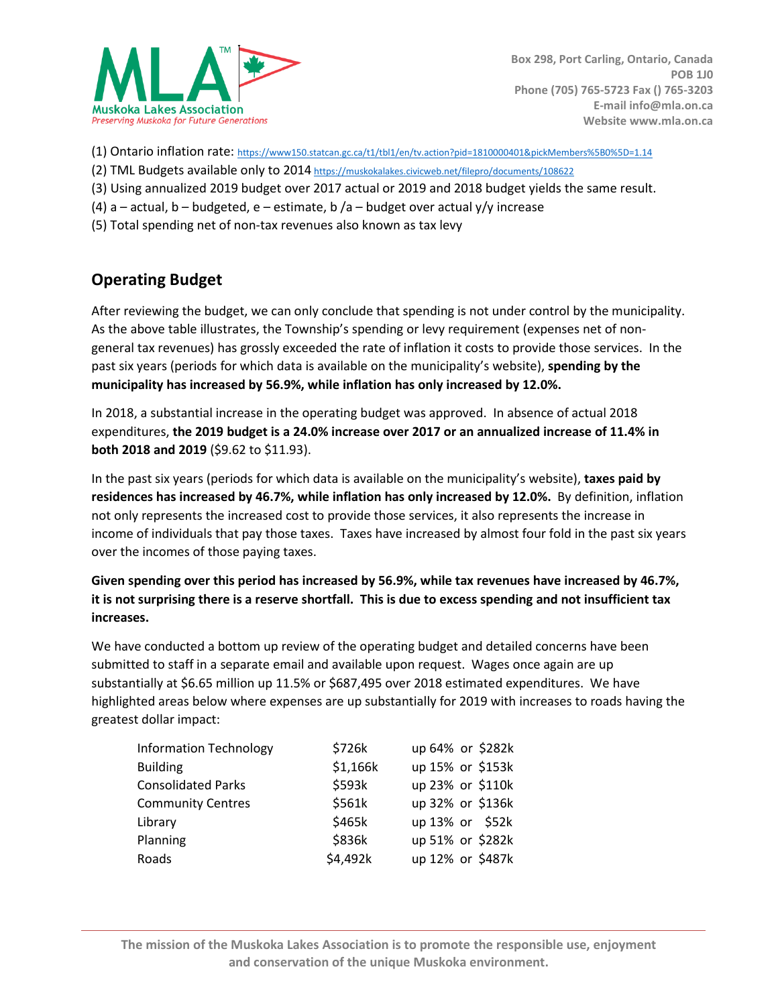

- (1) Ontario inflation rate: [https://www150.statcan.gc.ca/t1/tbl1/en/tv.action?pid=1810000401&pickMembers%5B0%5D=1.14](https://www150.statcan.gc.ca/t1/tbl1/en/tv.action?pid=1810000401&pickMembers%25255B0%25255D=1.14)
- (2) TML Budgets available only to 2014 <https://muskokalakes.civicweb.net/filepro/documents/108622>
- (3) Using annualized 2019 budget over 2017 actual or 2019 and 2018 budget yields the same result.
- (4) a actual, b budgeted, e estimate, b /a budget over actual  $y/y$  increase
- (5) Total spending net of non-tax revenues also known as tax levy

### **Operating Budget**

After reviewing the budget, we can only conclude that spending is not under control by the municipality. As the above table illustrates, the Township's spending or levy requirement (expenses net of nongeneral tax revenues) has grossly exceeded the rate of inflation it costs to provide those services. In the past six years (periods for which data is available on the municipality's website), **spending by the municipality has increased by 56.9%, while inflation has only increased by 12.0%.**

In 2018, a substantial increase in the operating budget was approved. In absence of actual 2018 expenditures, **the 2019 budget is a 24.0% increase over 2017 or an annualized increase of 11.4% in both 2018 and 2019** (\$9.62 to \$11.93).

In the past six years (periods for which data is available on the municipality's website), **taxes paid by residences has increased by 46.7%, while inflation has only increased by 12.0%.** By definition, inflation not only represents the increased cost to provide those services, it also represents the increase in income of individuals that pay those taxes. Taxes have increased by almost four fold in the past six years over the incomes of those paying taxes.

**Given spending over this period has increased by 56.9%, while tax revenues have increased by 46.7%,** it is not surprising there is a reserve shortfall. This is due to excess spending and not insufficient tax **increases.**

We have conducted a bottom up review of the operating budget and detailed concerns have been submitted to staff in a separate email and available upon request. Wages once again are up substantially at \$6.65 million up 11.5% or \$687,495 over 2018 estimated expenditures. We have highlighted areas below where expenses are up substantially for 2019 with increases to roads having the greatest dollar impact:

| <b>Information Technology</b> | \$726k   | up 64% or \$282k |
|-------------------------------|----------|------------------|
| <b>Building</b>               | \$1,166k | up 15% or \$153k |
| <b>Consolidated Parks</b>     | \$593k   | up 23% or \$110k |
| <b>Community Centres</b>      | \$561k   | up 32% or \$136k |
| Library                       | \$465k   | up 13% or \$52k  |
| Planning                      | \$836k   | up 51% or \$282k |
| Roads                         | \$4,492k | up 12% or \$487k |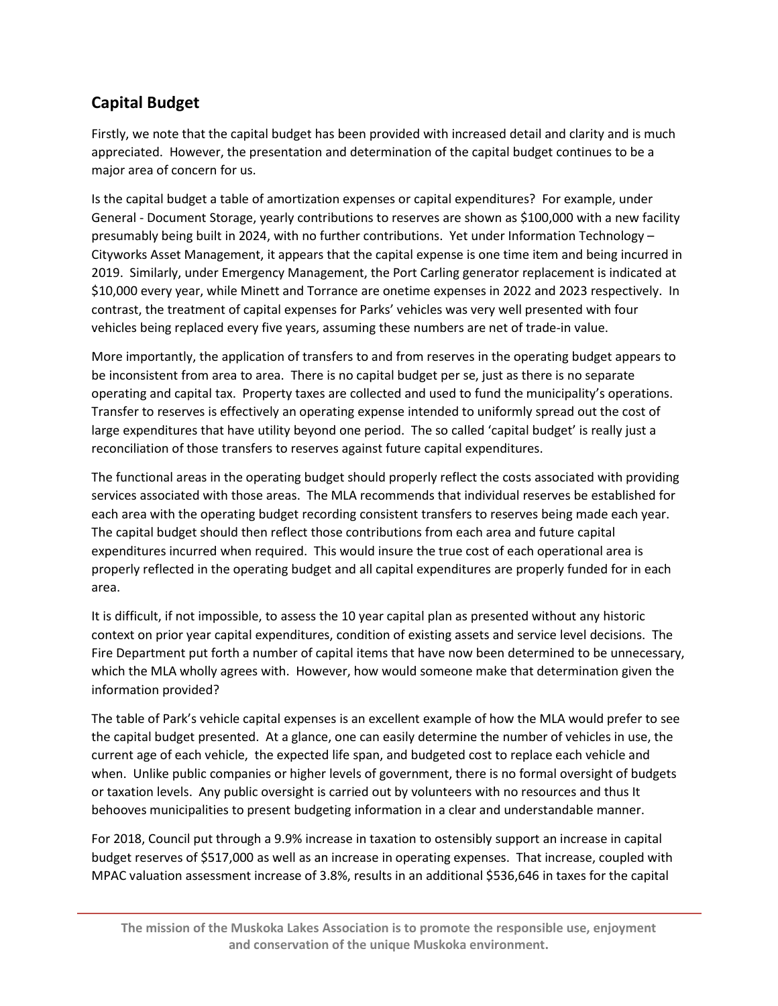# **Capital Budget**

Firstly, we note that the capital budget has been provided with increased detail and clarity and is much appreciated. However, the presentation and determination of the capital budget continues to be a major area of concern for us.

Is the capital budget a table of amortization expenses or capital expenditures? For example, under General - Document Storage, yearly contributions to reserves are shown as \$100,000 with a new facility presumably being built in 2024, with no further contributions. Yet under Information Technology – Cityworks Asset Management, it appears that the capital expense is one time item and being incurred in 2019. Similarly, under Emergency Management, the Port Carling generator replacement is indicated at \$10,000 every year, while Minett and Torrance are onetime expenses in 2022 and 2023 respectively. In contrast, the treatment of capital expenses for Parks' vehicles was very well presented with four vehicles being replaced every five years, assuming these numbers are net of trade-in value.

More importantly, the application of transfers to and from reserves in the operating budget appears to be inconsistent from area to area. There is no capital budget per se, just as there is no separate operating and capital tax. Property taxes are collected and used to fund the municipality's operations. Transfer to reserves is effectively an operating expense intended to uniformly spread out the cost of large expenditures that have utility beyond one period. The so called 'capital budget' is really just a reconciliation of those transfers to reserves against future capital expenditures.

The functional areas in the operating budget should properly reflect the costs associated with providing services associated with those areas. The MLA recommends that individual reserves be established for each area with the operating budget recording consistent transfers to reserves being made each year. The capital budget should then reflect those contributions from each area and future capital expenditures incurred when required. This would insure the true cost of each operational area is properly reflected in the operating budget and all capital expenditures are properly funded for in each area.

It is difficult, if not impossible, to assess the 10 year capital plan as presented without any historic context on prior year capital expenditures, condition of existing assets and service level decisions. The Fire Department put forth a number of capital items that have now been determined to be unnecessary, which the MLA wholly agrees with. However, how would someone make that determination given the information provided?

The table of Park's vehicle capital expenses is an excellent example of how the MLA would prefer to see the capital budget presented. At a glance, one can easily determine the number of vehicles in use, the current age of each vehicle, the expected life span, and budgeted cost to replace each vehicle and when. Unlike public companies or higher levels of government, there is no formal oversight of budgets or taxation levels. Any public oversight is carried out by volunteers with no resources and thus It behooves municipalities to present budgeting information in a clear and understandable manner.

For 2018, Council put through a 9.9% increase in taxation to ostensibly support an increase in capital budget reserves of \$517,000 as well as an increase in operating expenses. That increase, coupled with MPAC valuation assessment increase of 3.8%, results in an additional \$536,646 in taxes for the capital

**The mission of the Muskoka Lakes Association is to promote the responsible use, enjoyment and conservation of the unique Muskoka environment.**